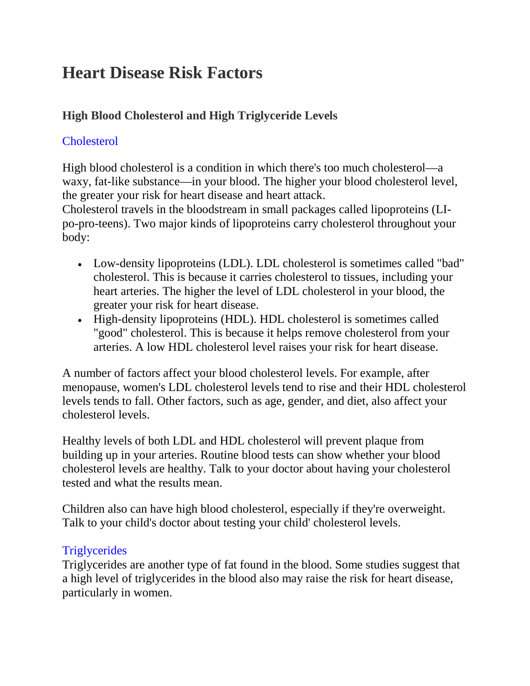# **Heart Disease Risk Factors**

# **High Blood Cholesterol and High Triglyceride Levels**

## **Cholesterol**

High blood cholesterol is a condition in which there's too much cholesterol—a waxy, fat-like substance—in your blood. The higher your blood cholesterol level, the greater your risk for heart disease and heart attack.

Cholesterol travels in the bloodstream in small packages called lipoproteins (LIpo-pro-teens). Two major kinds of lipoproteins carry cholesterol throughout your body:

- Low-density lipoproteins (LDL). LDL cholesterol is sometimes called "bad" cholesterol. This is because it carries cholesterol to tissues, including your heart arteries. The higher the level of LDL cholesterol in your blood, the greater your risk for heart disease.
- High-density lipoproteins (HDL). HDL cholesterol is sometimes called "good" cholesterol. This is because it helps remove cholesterol from your arteries. A low HDL cholesterol level raises your risk for heart disease.

A number of factors affect your blood cholesterol levels. For example, after menopause, women's LDL cholesterol levels tend to rise and their HDL cholesterol levels tends to fall. Other factors, such as age, gender, and diet, also affect your cholesterol levels.

Healthy levels of both LDL and HDL cholesterol will prevent plaque from building up in your arteries. Routine blood tests can show whether your blood cholesterol levels are healthy. Talk to your doctor about having your cholesterol tested and what the results mean.

Children also can have high blood cholesterol, especially if they're overweight. Talk to your child's doctor about testing your child' cholesterol levels.

## **Triglycerides**

Triglycerides are another type of fat found in the blood. Some studies suggest that a high level of triglycerides in the blood also may raise the risk for heart disease, particularly in women.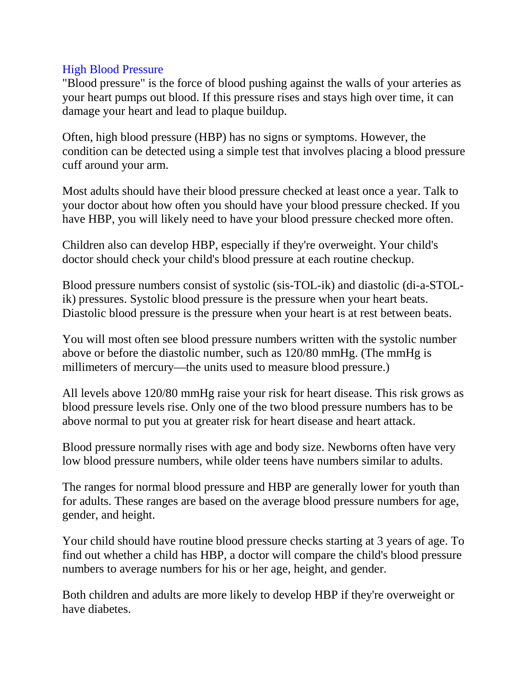#### High Blood Pressure

"Blood pressure" is the force of blood pushing against the walls of your arteries as your heart pumps out blood. If this pressure rises and stays high over time, it can damage your heart and lead to plaque buildup.

Often, high blood pressure (HBP) has no signs or symptoms. However, the condition can be detected using a simple test that involves placing a blood pressure cuff around your arm.

Most adults should have their blood pressure checked at least once a year. Talk to your doctor about how often you should have your blood pressure checked. If you have HBP, you will likely need to have your blood pressure checked more often.

Children also can develop HBP, especially if they're overweight. Your child's doctor should check your child's blood pressure at each routine checkup.

Blood pressure numbers consist of systolic (sis-TOL-ik) and diastolic (di-a-STOLik) pressures. Systolic blood pressure is the pressure when your heart beats. Diastolic blood pressure is the pressure when your heart is at rest between beats.

You will most often see blood pressure numbers written with the systolic number above or before the diastolic number, such as 120/80 mmHg. (The mmHg is millimeters of mercury—the units used to measure blood pressure.)

All levels above 120/80 mmHg raise your risk for heart disease. This risk grows as blood pressure levels rise. Only one of the two blood pressure numbers has to be above normal to put you at greater risk for heart disease and heart attack.

Blood pressure normally rises with age and body size. Newborns often have very low blood pressure numbers, while older teens have numbers similar to adults.

The ranges for normal blood pressure and HBP are generally lower for youth than for adults. These ranges are based on the average blood pressure numbers for age, gender, and height.

Your child should have routine blood pressure checks starting at 3 years of age. To find out whether a child has HBP, a doctor will compare the child's blood pressure numbers to average numbers for his or her age, height, and gender.

Both children and adults are more likely to develop HBP if they're overweight or have diabetes.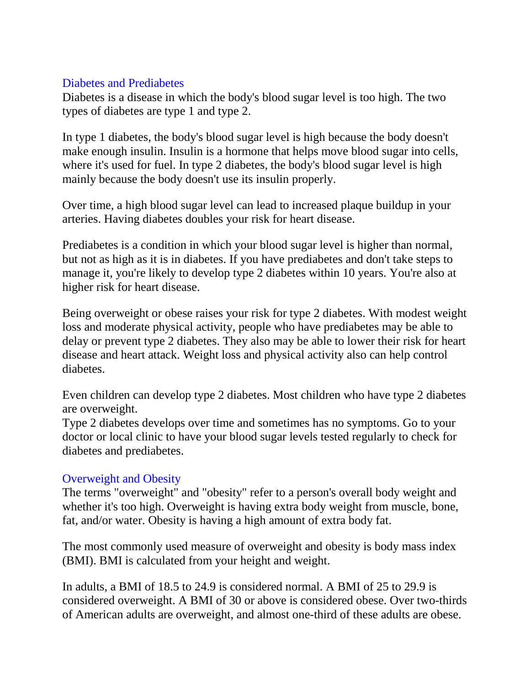#### Diabetes and Prediabetes

Diabetes is a disease in which the body's blood sugar level is too high. The two types of diabetes are type 1 and type 2.

In type 1 diabetes, the body's blood sugar level is high because the body doesn't make enough insulin. Insulin is a hormone that helps move blood sugar into cells, where it's used for fuel. In type 2 diabetes, the body's blood sugar level is high mainly because the body doesn't use its insulin properly.

Over time, a high blood sugar level can lead to increased plaque buildup in your arteries. Having diabetes doubles your risk for heart disease.

Prediabetes is a condition in which your blood sugar level is higher than normal, but not as high as it is in diabetes. If you have prediabetes and don't take steps to manage it, you're likely to develop type 2 diabetes within 10 years. You're also at higher risk for heart disease.

Being overweight or obese raises your risk for type 2 diabetes. With modest weight loss and moderate physical activity, people who have prediabetes may be able to delay or prevent type 2 diabetes. They also may be able to lower their risk for heart disease and heart attack. Weight loss and physical activity also can help control diabetes.

Even children can develop type 2 diabetes. Most children who have type 2 diabetes are overweight.

Type 2 diabetes develops over time and sometimes has no symptoms. Go to your doctor or local clinic to have your blood sugar levels tested regularly to check for diabetes and prediabetes.

## Overweight and Obesity

The terms "overweight" and "obesity" refer to a person's overall body weight and whether it's too high. Overweight is having extra body weight from muscle, bone, fat, and/or water. Obesity is having a high amount of extra body fat.

The most commonly used measure of overweight and obesity is body mass index (BMI). BMI is calculated from your height and weight.

In adults, a BMI of 18.5 to 24.9 is considered normal. A BMI of 25 to 29.9 is considered overweight. A BMI of 30 or above is considered obese. Over two-thirds of American adults are overweight, and almost one-third of these adults are obese.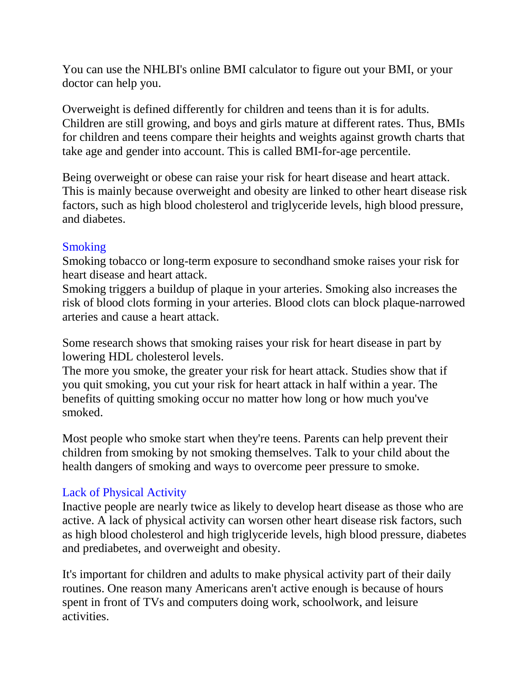You can use the NHLBI's online BMI calculator to figure out your BMI, or your doctor can help you.

Overweight is defined differently for children and teens than it is for adults. Children are still growing, and boys and girls mature at different rates. Thus, BMIs for children and teens compare their heights and weights against growth charts that take age and gender into account. This is called BMI-for-age percentile.

Being overweight or obese can raise your risk for heart disease and heart attack. This is mainly because overweight and obesity are linked to other heart disease risk factors, such as high blood cholesterol and triglyceride levels, high blood pressure, and diabetes.

## **Smoking**

Smoking tobacco or long-term exposure to secondhand smoke raises your risk for heart disease and heart attack.

Smoking triggers a buildup of plaque in your arteries. Smoking also increases the risk of blood clots forming in your arteries. Blood clots can block plaque-narrowed arteries and cause a heart attack.

Some research shows that smoking raises your risk for heart disease in part by lowering HDL cholesterol levels.

The more you smoke, the greater your risk for heart attack. Studies show that if you quit smoking, you cut your risk for heart attack in half within a year. The benefits of quitting smoking occur no matter how long or how much you've smoked.

Most people who smoke start when they're teens. Parents can help prevent their children from smoking by not smoking themselves. Talk to your child about the health dangers of smoking and ways to overcome peer pressure to smoke.

# Lack of Physical Activity

Inactive people are nearly twice as likely to develop heart disease as those who are active. A lack of physical activity can worsen other heart disease risk factors, such as high blood cholesterol and high triglyceride levels, high blood pressure, diabetes and prediabetes, and overweight and obesity.

It's important for children and adults to make physical activity part of their daily routines. One reason many Americans aren't active enough is because of hours spent in front of TVs and computers doing work, schoolwork, and leisure activities.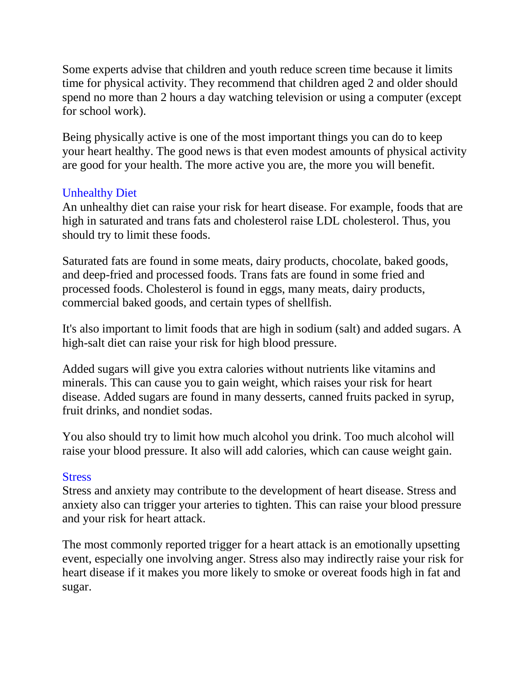Some experts advise that children and youth reduce screen time because it limits time for physical activity. They recommend that children aged 2 and older should spend no more than 2 hours a day watching television or using a computer (except for school work).

Being physically active is one of the most important things you can do to keep your heart healthy. The good news is that even modest amounts of physical activity are good for your health. The more active you are, the more you will benefit.

#### Unhealthy Diet

An unhealthy diet can raise your risk for heart disease. For example, foods that are high in saturated and trans fats and cholesterol raise LDL cholesterol. Thus, you should try to limit these foods.

Saturated fats are found in some meats, dairy products, chocolate, baked goods, and deep-fried and processed foods. Trans fats are found in some fried and processed foods. Cholesterol is found in eggs, many meats, dairy products, commercial baked goods, and certain types of shellfish.

It's also important to limit foods that are high in sodium (salt) and added sugars. A high-salt diet can raise your risk for high blood pressure.

Added sugars will give you extra calories without nutrients like vitamins and minerals. This can cause you to gain weight, which raises your risk for heart disease. Added sugars are found in many desserts, canned fruits packed in syrup, fruit drinks, and nondiet sodas.

You also should try to limit how much alcohol you drink. Too much alcohol will raise your blood pressure. It also will add calories, which can cause weight gain.

#### **Stress**

Stress and anxiety may contribute to the development of heart disease. Stress and anxiety also can trigger your arteries to tighten. This can raise your blood pressure and your risk for heart attack.

The most commonly reported trigger for a heart attack is an emotionally upsetting event, especially one involving anger. Stress also may indirectly raise your risk for heart disease if it makes you more likely to smoke or overeat foods high in fat and sugar.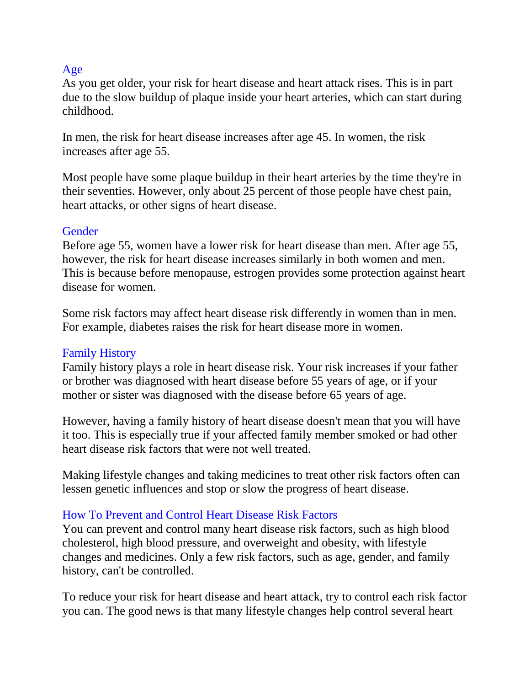#### Age

As you get older, your risk for heart disease and heart attack rises. This is in part due to the slow buildup of plaque inside your heart arteries, which can start during childhood.

In men, the risk for heart disease increases after age 45. In women, the risk increases after age 55.

Most people have some plaque buildup in their heart arteries by the time they're in their seventies. However, only about 25 percent of those people have chest pain, heart attacks, or other signs of heart disease.

## **Gender**

Before age 55, women have a lower risk for heart disease than men. After age 55, however, the risk for heart disease increases similarly in both women and men. This is because before menopause, estrogen provides some protection against heart disease for women.

Some risk factors may affect heart disease risk differently in women than in men. For example, diabetes raises the risk for heart disease more in women.

## Family History

Family history plays a role in heart disease risk. Your risk increases if your father or brother was diagnosed with heart disease before 55 years of age, or if your mother or sister was diagnosed with the disease before 65 years of age.

However, having a family history of heart disease doesn't mean that you will have it too. This is especially true if your affected family member smoked or had other heart disease risk factors that were not well treated.

Making lifestyle changes and taking medicines to treat other risk factors often can lessen genetic influences and stop or slow the progress of heart disease.

## How To Prevent and Control Heart Disease Risk Factors

You can prevent and control many heart disease risk factors, such as high blood cholesterol, high blood pressure, and overweight and obesity, with lifestyle changes and medicines. Only a few risk factors, such as age, gender, and family history, can't be controlled.

To reduce your risk for heart disease and heart attack, try to control each risk factor you can. The good news is that many lifestyle changes help control several heart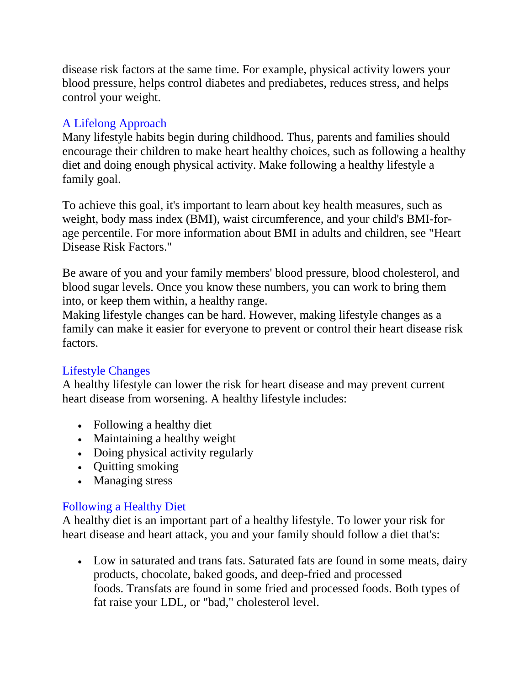disease risk factors at the same time. For example, physical activity lowers your blood pressure, helps control diabetes and prediabetes, reduces stress, and helps control your weight.

# A Lifelong Approach

Many lifestyle habits begin during childhood. Thus, parents and families should encourage their children to make heart healthy choices, such as following a healthy diet and doing enough physical activity. Make following a healthy lifestyle a family goal.

To achieve this goal, it's important to learn about key health measures, such as weight, body mass index (BMI), waist circumference, and your child's BMI-forage percentile. For more information about BMI in adults and children, see "Heart Disease Risk Factors."

Be aware of you and your family members' blood pressure, blood cholesterol, and blood sugar levels. Once you know these numbers, you can work to bring them into, or keep them within, a healthy range.

Making lifestyle changes can be hard. However, making lifestyle changes as a family can make it easier for everyone to prevent or control their heart disease risk factors.

## Lifestyle Changes

A healthy lifestyle can lower the risk for heart disease and may prevent current heart disease from worsening. A healthy lifestyle includes:

- Following a healthy diet
- Maintaining a healthy weight
- Doing physical activity regularly
- Quitting smoking
- Managing stress

## Following a Healthy Diet

A healthy diet is an important part of a healthy lifestyle. To lower your risk for heart disease and heart attack, you and your family should follow a diet that's:

• Low in saturated and trans fats. Saturated fats are found in some meats, dairy products, chocolate, baked goods, and deep-fried and processed foods. Transfats are found in some fried and processed foods. Both types of fat raise your LDL, or "bad," cholesterol level.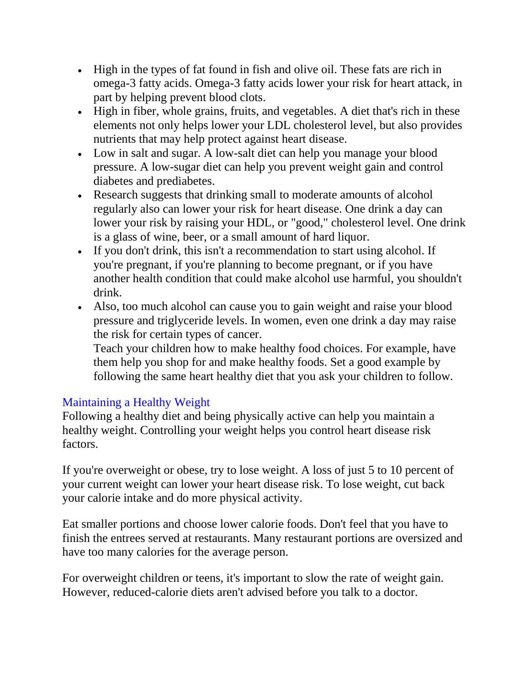- High in the types of fat found in fish and olive oil. These fats are rich in omega-3 fatty acids. Omega-3 fatty acids lower your risk for heart attack, in part by helping prevent blood clots.
- High in fiber, whole grains, fruits, and vegetables. A diet that's rich in these elements not only helps lower your LDL cholesterol level, but also provides nutrients that may help protect against heart disease.
- Low in salt and sugar. A low-salt diet can help you manage your blood pressure. A low-sugar diet can help you prevent weight gain and control diabetes and prediabetes.
- Research suggests that drinking small to moderate amounts of alcohol regularly also can lower your risk for heart disease. One drink a day can lower your risk by raising your HDL, or "good," cholesterol level. One drink is a glass of wine, beer, or a small amount of hard liquor.
- If you don't drink, this isn't a recommendation to start using alcohol. If you're pregnant, if you're planning to become pregnant, or if you have another health condition that could make alcohol use harmful, you shouldn't drink.
- Also, too much alcohol can cause you to gain weight and raise your blood pressure and triglyceride levels. In women, even one drink a day may raise the risk for certain types of cancer.

Teach your children how to make healthy food choices. For example, have them help you shop for and make healthy foods. Set a good example by following the same heart healthy diet that you ask your children to follow.

# Maintaining a Healthy Weight

Following a healthy diet and being physically active can help you maintain a healthy weight. Controlling your weight helps you control heart disease risk factors.

If you're overweight or obese, try to lose weight. A loss of just 5 to 10 percent of your current weight can lower your heart disease risk. To lose weight, cut back your calorie intake and do more physical activity.

Eat smaller portions and choose lower calorie foods. Don't feel that you have to finish the entrees served at restaurants. Many restaurant portions are oversized and have too many calories for the average person.

For overweight children or teens, it's important to slow the rate of weight gain. However, reduced-calorie diets aren't advised before you talk to a doctor.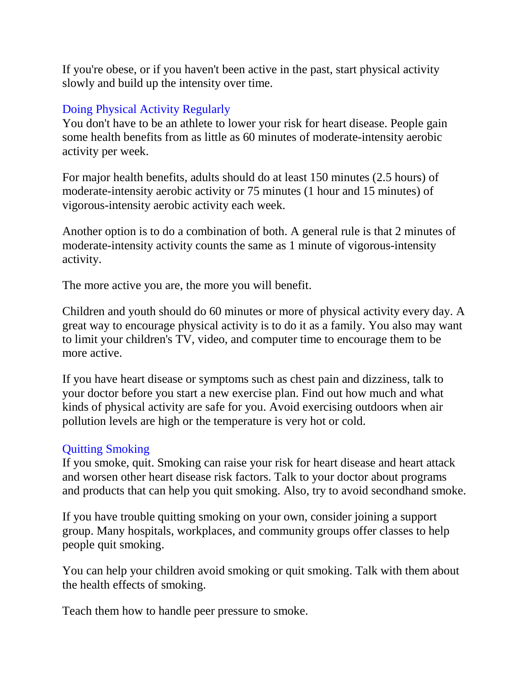If you're obese, or if you haven't been active in the past, start physical activity slowly and build up the intensity over time.

#### Doing Physical Activity Regularly

You don't have to be an athlete to lower your risk for heart disease. People gain some health benefits from as little as 60 minutes of moderate-intensity aerobic activity per week.

For major health benefits, adults should do at least 150 minutes (2.5 hours) of moderate-intensity aerobic activity or 75 minutes (1 hour and 15 minutes) of vigorous-intensity aerobic activity each week.

Another option is to do a combination of both. A general rule is that 2 minutes of moderate-intensity activity counts the same as 1 minute of vigorous-intensity activity.

The more active you are, the more you will benefit.

Children and youth should do 60 minutes or more of physical activity every day. A great way to encourage physical activity is to do it as a family. You also may want to limit your children's TV, video, and computer time to encourage them to be more active.

If you have heart disease or symptoms such as chest pain and dizziness, talk to your doctor before you start a new exercise plan. Find out how much and what kinds of physical activity are safe for you. Avoid exercising outdoors when air pollution levels are high or the temperature is very hot or cold.

#### Quitting Smoking

If you smoke, quit. Smoking can raise your risk for heart disease and heart attack and worsen other heart disease risk factors. Talk to your doctor about programs and products that can help you quit smoking. Also, try to avoid secondhand smoke.

If you have trouble quitting smoking on your own, consider joining a support group. Many hospitals, workplaces, and community groups offer classes to help people quit smoking.

You can help your children avoid smoking or quit smoking. Talk with them about the health effects of smoking.

Teach them how to handle peer pressure to smoke.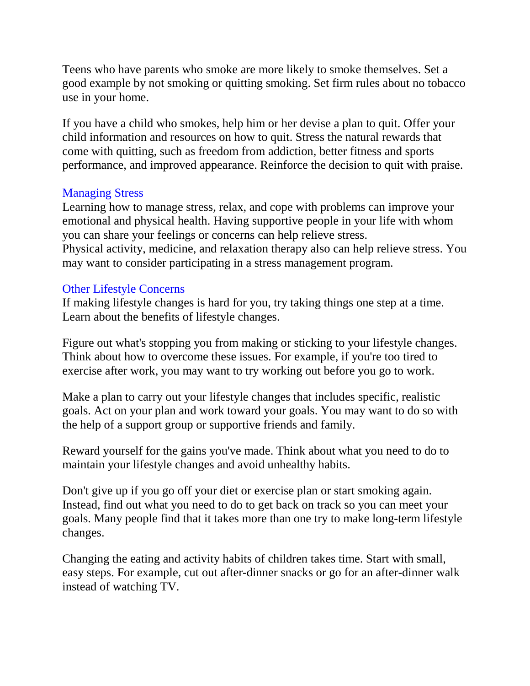Teens who have parents who smoke are more likely to smoke themselves. Set a good example by not smoking or quitting smoking. Set firm rules about no tobacco use in your home.

If you have a child who smokes, help him or her devise a plan to quit. Offer your child information and resources on how to quit. Stress the natural rewards that come with quitting, such as freedom from addiction, better fitness and sports performance, and improved appearance. Reinforce the decision to quit with praise.

#### Managing Stress

Learning how to manage stress, relax, and cope with problems can improve your emotional and physical health. Having supportive people in your life with whom you can share your feelings or concerns can help relieve stress. Physical activity, medicine, and relaxation therapy also can help relieve stress. You may want to consider participating in a stress management program.

#### Other Lifestyle Concerns

If making lifestyle changes is hard for you, try taking things one step at a time. Learn about the benefits of lifestyle changes.

Figure out what's stopping you from making or sticking to your lifestyle changes. Think about how to overcome these issues. For example, if you're too tired to exercise after work, you may want to try working out before you go to work.

Make a plan to carry out your lifestyle changes that includes specific, realistic goals. Act on your plan and work toward your goals. You may want to do so with the help of a support group or supportive friends and family.

Reward yourself for the gains you've made. Think about what you need to do to maintain your lifestyle changes and avoid unhealthy habits.

Don't give up if you go off your diet or exercise plan or start smoking again. Instead, find out what you need to do to get back on track so you can meet your goals. Many people find that it takes more than one try to make long-term lifestyle changes.

Changing the eating and activity habits of children takes time. Start with small, easy steps. For example, cut out after-dinner snacks or go for an after-dinner walk instead of watching TV.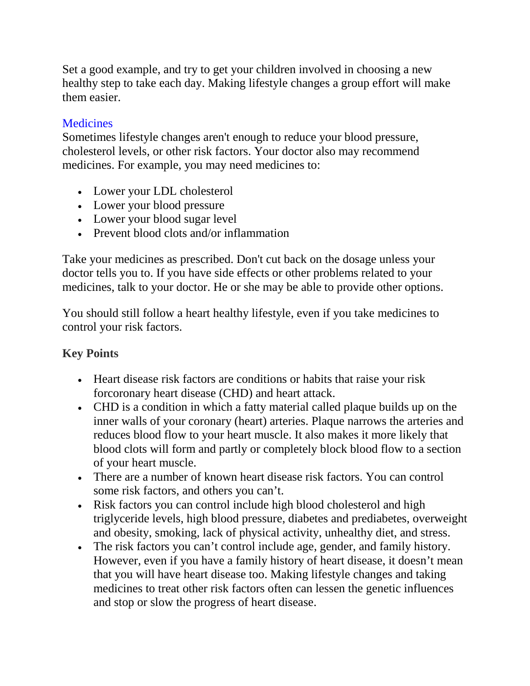Set a good example, and try to get your children involved in choosing a new healthy step to take each day. Making lifestyle changes a group effort will make them easier.

## **Medicines**

Sometimes lifestyle changes aren't enough to reduce your blood pressure, cholesterol levels, or other risk factors. Your doctor also may recommend medicines. For example, you may need medicines to:

- Lower your LDL cholesterol
- Lower your blood pressure
- Lower your blood sugar level
- Prevent blood clots and/or inflammation

Take your medicines as prescribed. Don't cut back on the dosage unless your doctor tells you to. If you have side effects or other problems related to your medicines, talk to your doctor. He or she may be able to provide other options.

You should still follow a heart healthy lifestyle, even if you take medicines to control your risk factors.

# **Key Points**

- Heart disease risk factors are conditions or habits that raise your risk forcoronary heart disease (CHD) and heart attack.
- CHD is a condition in which a fatty material called plaque builds up on the inner walls of your coronary (heart) arteries. Plaque narrows the arteries and reduces blood flow to your heart muscle. It also makes it more likely that blood clots will form and partly or completely block blood flow to a section of your heart muscle.
- There are a number of known heart disease risk factors. You can control some risk factors, and others you can't.
- Risk factors you can control include high blood cholesterol and high triglyceride levels, high blood pressure, diabetes and prediabetes, overweight and obesity, smoking, lack of physical activity, unhealthy diet, and stress.
- The risk factors you can't control include age, gender, and family history. However, even if you have a family history of heart disease, it doesn't mean that you will have heart disease too. Making lifestyle changes and taking medicines to treat other risk factors often can lessen the genetic influences and stop or slow the progress of heart disease.